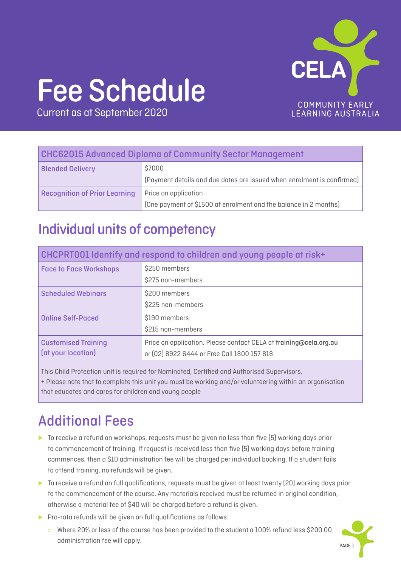

# Fee Schedule

Current as at September 2020

### CHC62015 Advanced Diploma of Community Sector Management

| <b>Blended Delivery</b>              | \$7000                                                                        |
|--------------------------------------|-------------------------------------------------------------------------------|
|                                      | $\mid$ (Payment details and due dates are issued when enrolment is confirmed) |
| <b>Recognition of Prior Learning</b> | Price on application                                                          |
|                                      | (One payment of \$1500 at enrolment and the balance in 2 months)              |

### Individual units of competency

| CHCPRT001 Identify and respond to children and young people at risk+ |                                                                   |
|----------------------------------------------------------------------|-------------------------------------------------------------------|
| <b>Face to Face Workshops</b>                                        | \$250 members                                                     |
|                                                                      | \$275 non-members                                                 |
| <b>Scheduled Webinars</b>                                            | \$200 members                                                     |
|                                                                      | \$225 non-members                                                 |
| <b>Online Self-Paced</b>                                             | \$190 members                                                     |
|                                                                      | \$215 non-members                                                 |
| <b>Customised Training</b>                                           | Price on application. Please contact CELA at training@cela.org.au |
| (at your location)                                                   | or (02) 8922 6444 or Free Call 1800 157 818                       |

This Child Protection unit is required for Nominated, Certified and Authorised Supervisors.

+ Please note that to complete this unit you must be working and/or volunteering within an organisation that educates and cares for children and young people

## Additional Fees

- ► To receive a refund on workshops, requests must be given no less than five (5) working days prior to commencement of training. If request is received less than five (5) working days before training commences, then a \$10 administration fee will be charged per individual booking. If a student fails to attend training, no refunds will be given.
- ► To receive a refund on full qualifications, requests must be given at least twenty (20) working days prior to the commencement of the course. Any materials received must be returned in original condition, otherwise a material fee of \$40 will be charged before a refund is given.
- ▶ Pro-rata refunds will be given on full qualifications as follows:
	- » Where 20% or less of the course has been provided to the student a 100% refund less \$200.00 administration fee will apply.